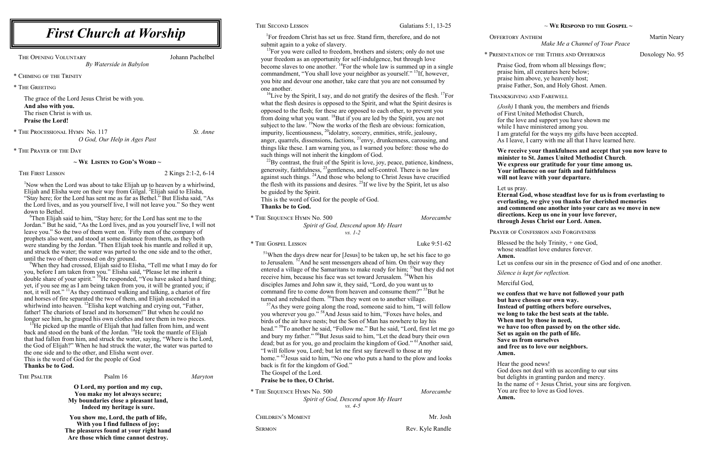<sup>1</sup>For freedom Christ has set us free. Stand firm, therefore, and do not submit again to a yoke of slavery.

 $13$ For you were called to freedom, brothers and sisters; only do not use your freedom as an opportunity for self-indulgence, but through love become slaves to one another.  $^{14}$ For the whole law is summed up in a single commandment, "You shall love your neighbor as yourself." <sup>15</sup>If, however, you bite and devour one another, take care that you are not consumed by one another.

<sup>16</sup>Live by the Spirit, I say, and do not gratify the desires of the flesh. <sup>17</sup>For what the flesh desires is opposed to the Spirit, and what the Spirit desires is opposed to the flesh; for these are opposed to each other, to prevent you from doing what you want. <sup>18</sup>But if you are led by the Spirit, you are not subject to the law.  $\frac{19}{2}$ Now the works of the flesh are obvious: fornication, impurity, licentiousness, <sup>20</sup>idolatry, sorcery, enmities, strife, jealousy, anger, quarrels, dissensions, factions, <sup>21</sup>envy, drunkenness, carousing, and things like these. I am warning you, as I warned you before: those who do such things will not inherit the kingdom of God.

 $^{22}$ By contrast, the fruit of the Spirit is love, joy, peace, patience, kindness, generosity, faithfulness,  $^{23}$  gentleness, and self-control. There is no law against such things. <sup>24</sup>And those who belong to Christ Jesus have crucified the flesh with its passions and desires. <sup>25</sup>If we live by the Spirit, let us also be guided by the Spirit.

 $57\text{As}$  they were going along the road, someone said to him, "I will follow you wherever you go."<sup>58</sup>And Jesus said to him, "Foxes have holes, and birds of the air have nests; but the Son of Man has nowhere to lay his head." <sup>59</sup>To another he said, "Follow me." But he said, "Lord, first let me go and bury my father." <sup>60</sup>But Jesus said to him, "Let the dead bury their own dead; but as for you, go and proclaim the kingdom of God." <sup>61</sup> Another said, "I will follow you, Lord; but let me first say farewell to those at my home."<sup>62</sup>Jesus said to him, "No one who puts a hand to the plow and looks back is fit for the kingdom of God."

This is the word of God for the people of God. **Thanks be to God.**

OFFERTORY ANTHEM Martin Neary *Make Me a Channel of Your Peace*

| * THE SEQUENCE HYMN No. 500          | Morecambe |
|--------------------------------------|-----------|
| Spirit of God, Descend upon My Heart |           |
| $vs. I-2$                            |           |

\* The Gospel Lesson Luke 9:51-62

 $<sup>51</sup>$ When the days drew near for [Jesus] to be taken up, he set his face to go</sup> to Jerusalem. <sup>52</sup>And he sent messengers ahead of him. On their way they entered a village of the Samaritans to make ready for him; <sup>53</sup>but they did not receive him, because his face was set toward Jerusalem. <sup>54</sup>When his disciples James and John saw it, they said, "Lord, do you want us to command fire to come down from heaven and consume them?"<sup>55</sup>But he turned and rebuked them. <sup>56</sup>Then they went on to another village.

THE OPENING VOLUNTARY Johann Pachelbel *By Waterside in Babylon*

<sup>1</sup>Now when the Lord was about to take Elijah up to heaven by a whirlwind, Elijah and Elisha were on their way from Gilgal. <sup>2</sup>Elijah said to Elisha, "Stay here; for the Lord has sent me as far as Bethel." But Elisha said, "As the Lord lives, and as you yourself live, I will not leave you." So they went down to Bethel.

> The Gospel of the Lord. **Praise be to thee, O Christ.**

| * THE SEQUENCE HYMN No. 500          | Morecambe |
|--------------------------------------|-----------|
| Spirit of God, Descend upon My Heart |           |
| $\nu s$ 4-5                          |           |

CHILDREN'S MOMENT Mr. Josh

SERMON Rev. Kyle Randle

~ **We Respond to the Gospel ~**

<sup>6</sup>Then Elijah said to him, "Stay here; for the Lord has sent me to the Jordan." But he said, "As the Lord lives, and as you yourself live, I will not leave you." So the two of them went on. <sup>7</sup> Fifty men of the company of prophets also went, and stood at some distance from them, as they both were standing by the Jordan. <sup>8</sup>Then Elijah took his mantle and rolled it up, and struck the water; the water was parted to the one side and to the other, until the two of them crossed on dry ground.

\* Presentation of the Tithes and Offerings Doxology No. 95

Praise God, from whom all blessings flow; praise him, all creatures here below; praise him above, ye heavenly host; praise Father, Son, and Holy Ghost. Amen.

Thanksgiving and Farewell

*(Josh)* I thank you, the members and friends of First United Methodist Church, for the love and support you have shown me while I have ministered among you. I am grateful for the ways my gifts have been accepted. As I leave, I carry with me all that I have learned here.

 $15$ He picked up the mantle of Elijah that had fallen from him, and went back and stood on the bank of the Jordan. <sup>14</sup>He took the mantle of Elijah that had fallen from him, and struck the water, saying, "Where is the Lord, the God of Elijah?" When he had struck the water, the water was parted to the one side and to the other, and Elisha went over. This is the word of God for the people of God **Thanks be to God.**

THE PSALTER Psalm 16 *Maryton* 

**We receive your thankfulness and accept that you now leave to minister to St. James United Methodist Church***.* **We express our gratitude for your time among us. Your influence on our faith and faithfulness will not leave with your departure.**

Let us pray. **Eternal God, whose steadfast love for us is from everlasting to everlasting, we give you thanks for cherished memories and commend one another into your care as we move in new directions. Keep us one in your love forever, through Jesus Christ our Lord. Amen.**

PRAYER OF CONFESSION AND FORGIVENESS

Blessed be the holy Trinity, + one God, whose steadfast love endures forever.

**Amen.**

Let us confess our sin in the presence of God and of one another.

*Silence is kept for reflection.*

Merciful God,

**we confess that we have not followed your path but have chosen our own way. Instead of putting others before ourselves, we long to take the best seats at the table. When met by those in need, we have too often passed by on the other side. Set us again on the path of life. Save us from ourselves and free us to love our neighbors. Amen.**

Hear the good news! God does not deal with us according to our sins but delights in granting pardon and mercy. In the name of  $+$  Jesus Christ, your sins are forgiven. You are free to love as God loves. **Amen.**

\* Chiming of the Trinity

\* The Greeting

The grace of the Lord Jesus Christ be with you. **And also with you.** The risen Christ is with us. **Praise the Lord!**

\* The Processional Hymn No. 117 *St. Anne O God, Our Help in Ages Past*

\* The Prayer of the Day

### **~ We Listen to God's Word ~**

THE FIRST LESSON 2 Kings 2:1-2, 6-14

<sup>9</sup>When they had crossed, Elijah said to Elisha, "Tell me what I may do for you, before I am taken from you." Elisha said, "Please let me inherit a double share of your spirit." <sup>10</sup>He responded, "You have asked a hard thing; yet, if you see me as  $\overline{I}$  am being taken from you, it will be granted you; if not, it will not." <sup>11</sup>As they continued walking and talking, a chariot of fire and horses of fire separated the two of them, and Elijah ascended in a whirlwind into heaven. <sup>12</sup>Elisha kept watching and crying out, "Father, father! The chariots of Israel and its horsemen!" But when he could no longer see him, he grasped his own clothes and tore them in two pieces.

> **O Lord, my portion and my cup, You make my lot always secure; My boundaries close a pleasant land, Indeed my heritage is sure.**

**You show me, Lord, the path of life, With you I find fullness of joy; The pleasures found at your right hand Are those which time cannot destroy.** 

## THE SECOND LESSON Galatians 5:1, 13-25

# *First Church at Worship*